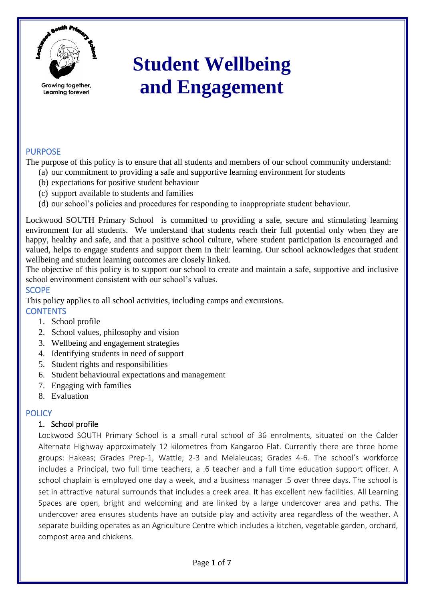

**Learning forever!**

**Student Wellbeing and Engagement**

### PURPOSE

The purpose of this policy is to ensure that all students and members of our school community understand:

- (a) our commitment to providing a safe and supportive learning environment for students
- (b) expectations for positive student behaviour
- (c) support available to students and families
- (d) our school's policies and procedures for responding to inappropriate student behaviour.

Lockwood SOUTH Primary School is committed to providing a safe, secure and stimulating learning environment for all students. We understand that students reach their full potential only when they are happy, healthy and safe, and that a positive school culture, where student participation is encouraged and valued, helps to engage students and support them in their learning. Our school acknowledges that student wellbeing and student learning outcomes are closely linked.

The objective of this policy is to support our school to create and maintain a safe, supportive and inclusive school environment consistent with our school's values.

#### **SCOPE**

This policy applies to all school activities, including camps and excursions. **CONTENTS** 

- 1. School profile
- 2. School values, philosophy and vision
- 3. Wellbeing and engagement strategies
- 4. Identifying students in need of support
- 5. Student rights and responsibilities
- 6. Student behavioural expectations and management
- 7. Engaging with families
- 8. Evaluation

#### **POLICY**

#### 1. School profile

Lockwood SOUTH Primary School is a small rural school of 36 enrolments, situated on the Calder Alternate Highway approximately 12 kilometres from Kangaroo Flat. Currently there are three home groups: Hakeas; Grades Prep-1, Wattle; 2-3 and Melaleucas; Grades 4-6. The school's workforce includes a Principal, two full time teachers, a .6 teacher and a full time education support officer. A school chaplain is employed one day a week, and a business manager .5 over three days. The school is set in attractive natural surrounds that includes a creek area. It has excellent new facilities. All Learning Spaces are open, bright and welcoming and are linked by a large undercover area and paths. The undercover area ensures students have an outside play and activity area regardless of the weather. A separate building operates as an Agriculture Centre which includes a kitchen, vegetable garden, orchard, compost area and chickens.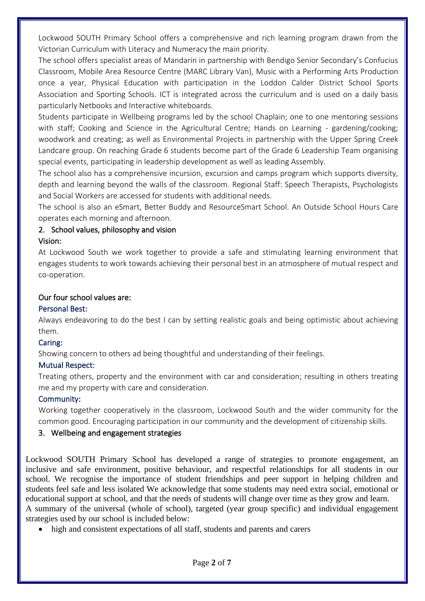Lockwood SOUTH Primary School offers a comprehensive and rich learning program drawn from the Victorian Curriculum with Literacy and Numeracy the main priority.

The school offers specialist areas of Mandarin in partnership with Bendigo Senior Secondary's Confucius Classroom, Mobile Area Resource Centre (MARC Library Van), Music with a Performing Arts Production once a year, Physical Education with participation in the Loddon Calder District School Sports Association and Sporting Schools. ICT is integrated across the curriculum and is used on a daily basis particularly Netbooks and Interactive whiteboards.

Students participate in Wellbeing programs led by the school Chaplain; one to one mentoring sessions with staff; Cooking and Science in the Agricultural Centre; Hands on Learning - gardening/cooking; woodwork and creating; as well as Environmental Projects in partnership with the Upper Spring Creek Landcare group. On reaching Grade 6 students become part of the Grade 6 Leadership Team organising special events, participating in leadership development as well as leading Assembly.

The school also has a comprehensive incursion, excursion and camps program which supports diversity, depth and learning beyond the walls of the classroom. Regional Staff: Speech Therapists, Psychologists and Social Workers are accessed for students with additional needs.

The school is also an eSmart, Better Buddy and ResourceSmart School. An Outside School Hours Care operates each morning and afternoon.

### 2. School values, philosophy and vision

### Vision:

At Lockwood South we work together to provide a safe and stimulating learning environment that engages students to work towards achieving their personal best in an atmosphere of mutual respect and co-operation.

#### Our four school values are:

### Personal Best:

Always endeavoring to do the best I can by setting realistic goals and being optimistic about achieving them.

### Caring:

Showing concern to others ad being thoughtful and understanding of their feelings.

### Mutual Respect:

Treating others, property and the environment with car and consideration; resulting in others treating me and my property with care and consideration.

### Community:

Working together cooperatively in the classroom, Lockwood South and the wider community for the common good. Encouraging participation in our community and the development of citizenship skills.

### 3. Wellbeing and engagement strategies

Lockwood SOUTH Primary School has developed a range of strategies to promote engagement, an inclusive and safe environment, positive behaviour, and respectful relationships for all students in our school. We recognise the importance of student friendships and peer support in helping children and students feel safe and less isolated We acknowledge that some students may need extra social, emotional or educational support at school, and that the needs of students will change over time as they grow and learn. A summary of the universal (whole of school), targeted (year group specific) and individual engagement strategies used by our school is included below:

• high and consistent expectations of all staff, students and parents and carers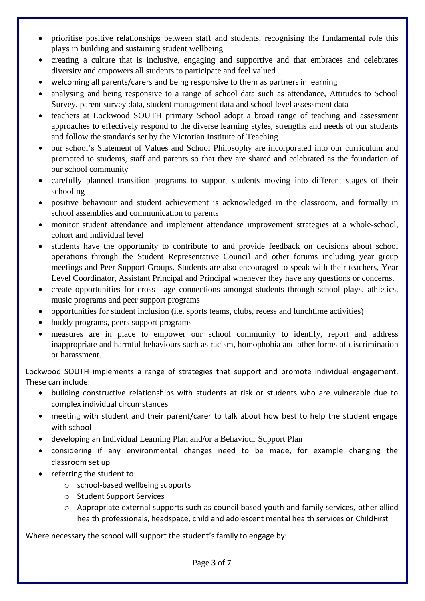- prioritise positive relationships between staff and students, recognising the fundamental role this plays in building and sustaining student wellbeing
- creating a culture that is inclusive, engaging and supportive and that embraces and celebrates diversity and empowers all students to participate and feel valued
- welcoming all parents/carers and being responsive to them as partners in learning
- analysing and being responsive to a range of school data such as attendance. Attitudes to School Survey, parent survey data, student management data and school level assessment data
- teachers at Lockwood SOUTH primary School adopt a broad range of teaching and assessment approaches to effectively respond to the diverse learning styles, strengths and needs of our students and follow the standards set by the Victorian Institute of Teaching
- our school's Statement of Values and School Philosophy are incorporated into our curriculum and promoted to students, staff and parents so that they are shared and celebrated as the foundation of our school community
- carefully planned transition programs to support students moving into different stages of their schooling
- positive behaviour and student achievement is acknowledged in the classroom, and formally in school assemblies and communication to parents
- monitor student attendance and implement attendance improvement strategies at a whole-school, cohort and individual level
- students have the opportunity to contribute to and provide feedback on decisions about school operations through the Student Representative Council and other forums including year group meetings and Peer Support Groups. Students are also encouraged to speak with their teachers, Year Level Coordinator, Assistant Principal and Principal whenever they have any questions or concerns.
- create opportunities for cross—age connections amongst students through school plays, athletics, music programs and peer support programs
- opportunities for student inclusion (i.e. sports teams, clubs, recess and lunchtime activities)
- buddy programs, peers support programs
- measures are in place to empower our school community to identify, report and address inappropriate and harmful behaviours such as racism, homophobia and other forms of discrimination or harassment.

Lockwood SOUTH implements a range of strategies that support and promote individual engagement. These can include:

- building constructive relationships with students at risk or students who are vulnerable due to complex individual circumstances
- meeting with student and their parent/carer to talk about how best to help the student engage with school
- developing an Individual Learning Plan and/or a Behaviour Support Plan
- considering if any environmental changes need to be made, for example changing the classroom set up
- referring the student to:
	- o school-based wellbeing supports
	- o Student Support Services
	- o Appropriate external supports such as council based youth and family services, other allied health professionals, headspace, child and adolescent mental health services or ChildFirst

Where necessary the school will support the student's family to engage by: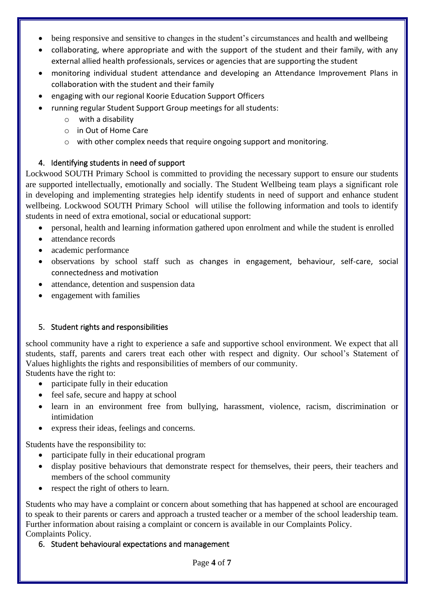- being responsive and sensitive to changes in the student's circumstances and health and wellbeing
- collaborating, where appropriate and with the support of the student and their family, with any external allied health professionals, services or agencies that are supporting the student
- monitoring individual student attendance and developing an Attendance Improvement Plans in collaboration with the student and their family
- engaging with our regional Koorie Education Support Officers
- running regular Student Support Group meetings for all students:
	- o with a disability
	- o in Out of Home Care
	- o with other complex needs that require ongoing support and monitoring.

# 4. Identifying students in need of support

Lockwood SOUTH Primary School is committed to providing the necessary support to ensure our students are supported intellectually, emotionally and socially. The Student Wellbeing team plays a significant role in developing and implementing strategies help identify students in need of support and enhance student wellbeing. Lockwood SOUTH Primary School will utilise the following information and tools to identify students in need of extra emotional, social or educational support:

- personal, health and learning information gathered upon enrolment and while the student is enrolled
- attendance records
- academic performance
- observations by school staff such as changes in engagement, behaviour, self-care, social connectedness and motivation
- attendance, detention and suspension data
- engagement with families

# 5. Student rights and responsibilities

school community have a right to experience a safe and supportive school environment. We expect that all students, staff, parents and carers treat each other with respect and dignity. Our school's Statement of Values highlights the rights and responsibilities of members of our community.

Students have the right to:

- participate fully in their education
- feel safe, secure and happy at school
- learn in an environment free from bullying, harassment, violence, racism, discrimination or intimidation
- express their ideas, feelings and concerns.

Students have the responsibility to:

- participate fully in their educational program
- display positive behaviours that demonstrate respect for themselves, their peers, their teachers and members of the school community
- respect the right of others to learn.

Students who may have a complaint or concern about something that has happened at school are encouraged to speak to their parents or carers and approach a trusted teacher or a member of the school leadership team. Further information about raising a complaint or concern is available in our Complaints Policy. Complaints Policy.

# 6. Student behavioural expectations and management

Page **4** of **7**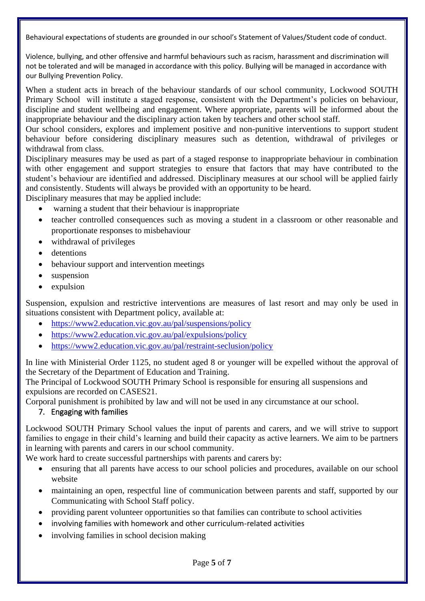Behavioural expectations of students are grounded in our school's Statement of Values/Student code of conduct.

Violence, bullying, and other offensive and harmful behaviours such as racism, harassment and discrimination will not be tolerated and will be managed in accordance with this policy. Bullying will be managed in accordance with our Bullying Prevention Policy.

When a student acts in breach of the behaviour standards of our school community, Lockwood SOUTH Primary School will institute a staged response, consistent with the Department's policies on behaviour, discipline and student wellbeing and engagement. Where appropriate, parents will be informed about the inappropriate behaviour and the disciplinary action taken by teachers and other school staff.

Our school considers, explores and implement positive and non-punitive interventions to support student behaviour before considering disciplinary measures such as detention, withdrawal of privileges or withdrawal from class.

Disciplinary measures may be used as part of a staged response to inappropriate behaviour in combination with other engagement and support strategies to ensure that factors that may have contributed to the student's behaviour are identified and addressed. Disciplinary measures at our school will be applied fairly and consistently. Students will always be provided with an opportunity to be heard.

Disciplinary measures that may be applied include:

- warning a student that their behaviour is inappropriate
- teacher controlled consequences such as moving a student in a classroom or other reasonable and proportionate responses to misbehaviour
- withdrawal of privileges
- detentions
- behaviour support and intervention meetings
- suspension
- expulsion

Suspension, expulsion and restrictive interventions are measures of last resort and may only be used in situations consistent with Department policy, available at:

- <https://www2.education.vic.gov.au/pal/suspensions/policy>
- <https://www2.education.vic.gov.au/pal/expulsions/policy>
- <https://www2.education.vic.gov.au/pal/restraint-seclusion/policy>

In line with Ministerial Order 1125, no student aged 8 or younger will be expelled without the approval of the Secretary of the Department of Education and Training.

The Principal of Lockwood SOUTH Primary School is responsible for ensuring all suspensions and expulsions are recorded on CASES21.

Corporal punishment is prohibited by law and will not be used in any circumstance at our school.

### 7. Engaging with families

Lockwood SOUTH Primary School values the input of parents and carers, and we will strive to support families to engage in their child's learning and build their capacity as active learners. We aim to be partners in learning with parents and carers in our school community.

We work hard to create successful partnerships with parents and carers by:

- ensuring that all parents have access to our school policies and procedures, available on our school website
- maintaining an open, respectful line of communication between parents and staff, supported by our Communicating with School Staff policy.
- providing parent volunteer opportunities so that families can contribute to school activities
- involving families with homework and other curriculum-related activities
- involving families in school decision making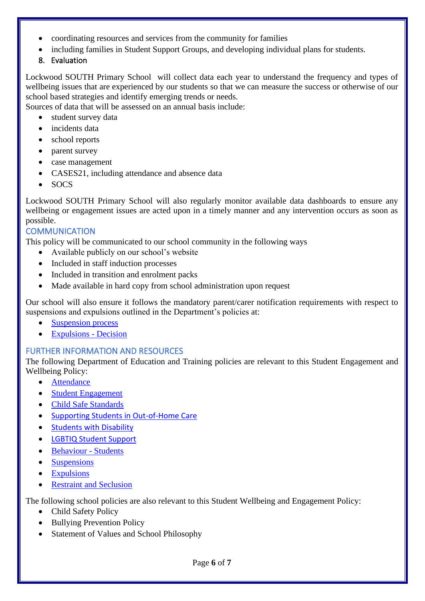- coordinating resources and services from the community for families
- including families in Student Support Groups, and developing individual plans for students.
- 8. Evaluation

Lockwood SOUTH Primary School will collect data each year to understand the frequency and types of wellbeing issues that are experienced by our students so that we can measure the success or otherwise of our school based strategies and identify emerging trends or needs.

Sources of data that will be assessed on an annual basis include:

- student survey data
- incidents data
- school reports
- parent survey
- case management
- CASES21, including attendance and absence data
- SOCS

Lockwood SOUTH Primary School will also regularly monitor available data dashboards to ensure any wellbeing or engagement issues are acted upon in a timely manner and any intervention occurs as soon as possible.

### **COMMUNICATION**

This policy will be communicated to our school community in the following ways

- Available publicly on our school's website
- Included in staff induction processes
- Included in transition and enrolment packs
- Made available in hard copy from school administration upon request

Our school will also ensure it follows the mandatory parent/carer notification requirements with respect to suspensions and expulsions outlined in the Department's policies at:

- **[Suspension process](https://www2.education.vic.gov.au/pal/suspensions/guidance/1-suspension-process)**
- [Expulsions -](https://www2.education.vic.gov.au/pal/expulsions/guidance/decision) Decision

# FURTHER INFORMATION AND RESOURCES

The following Department of Education and Training policies are relevant to this Student Engagement and Wellbeing Policy:

- [Attendance](https://www2.education.vic.gov.au/pal/attendance/policy)
- **[Student Engagement](https://www2.education.vic.gov.au/pal/student-engagement/policy)**
- [Child Safe Standards](https://www2.education.vic.gov.au/pal/child-safe-standards/policy)
- [Supporting Students in Out-of-Home Care](https://www2.education.vic.gov.au/pal/supporting-students-out-home-care/policy)
- [Students with Disability](https://www2.education.vic.gov.au/pal/students-disability/policy)
- [LGBTIQ Student Support](https://www2.education.vic.gov.au/pal/lgbtiq-student-support/policy)
- [Behaviour](https://www2.education.vic.gov.au/pal/behaviour-students/policy) Students
- [Suspensions](https://www2.education.vic.gov.au/pal/suspensions/policy)
- [Expulsions](https://www2.education.vic.gov.au/pal/expulsions/policy)
- **[Restraint and Seclusion](https://www2.education.vic.gov.au/pal/restraint-seclusion/policy)**

The following school policies are also relevant to this Student Wellbeing and Engagement Policy:

- Child Safety Policy
- Bullying Prevention Policy
- Statement of Values and School Philosophy